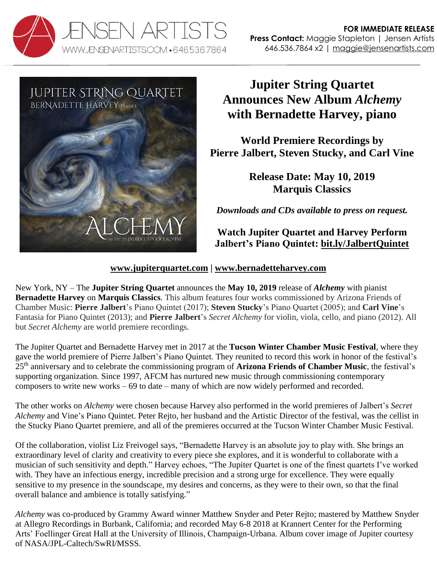



# **Jupiter String Quartet Announces New Album** *Alchemy* **with Bernadette Harvey, piano**

**World Premiere Recordings by Pierre Jalbert, Steven Stucky, and Carl Vine**

> **Release Date: May 10, 2019 Marquis Classics**

*Downloads and CDs available to press on request.* 

**Watch Jupiter Quartet and Harvey Perform Jalbert's Piano Quintet: [bit.ly/JalbertQuintet](https://bit.ly/JalbertQuintet)**

# **[www.jupiterquartet.com](http://www.jupiterquartet.com/) | [www.bernadetteharvey.com](http://www.bernadetteharvey.com/)**

New York, NY – The **Jupiter String Quartet** announces the **May 10, 2019** release of *Alchemy* with pianist **Bernadette Harvey** on **Marquis Classics**. This album features four works commissioned by Arizona Friends of Chamber Music: **Pierre Jalbert**'s Piano Quintet (2017); **Steven Stucky**'s Piano Quartet (2005); and **Carl Vine**'s Fantasia for Piano Quintet (2013); and **Pierre Jalbert**'s *Secret Alchemy* for violin, viola, cello, and piano (2012). All but *Secret Alchemy* are world premiere recordings.

The Jupiter Quartet and Bernadette Harvey met in 2017 at the **Tucson Winter Chamber Music Festival**, where they gave the world premiere of Pierre Jalbert's Piano Quintet. They reunited to record this work in honor of the festival's 25th anniversary and to celebrate the commissioning program of **Arizona Friends of Chamber Music**, the festival's supporting organization. Since 1997, AFCM has nurtured new music through commissioning contemporary composers to write new works – 69 to date – many of which are now widely performed and recorded.

The other works on *Alchemy* were chosen because Harvey also performed in the world premieres of Jalbert's *Secret Alchemy* and Vine's Piano Quintet. Peter Rejto, her husband and the Artistic Director of the festival, was the cellist in the Stucky Piano Quartet premiere, and all of the premieres occurred at the Tucson Winter Chamber Music Festival.

Of the collaboration, violist Liz Freivogel says, "Bernadette Harvey is an absolute joy to play with. She brings an extraordinary level of clarity and creativity to every piece she explores, and it is wonderful to collaborate with a musician of such sensitivity and depth." Harvey echoes, "The Jupiter Quartet is one of the finest quartets I've worked with. They have an infectious energy, incredible precision and a strong urge for excellence. They were equally sensitive to my presence in the soundscape, my desires and concerns, as they were to their own, so that the final overall balance and ambience is totally satisfying."

*Alchemy* was co-produced by Grammy Award winner Matthew Snyder and Peter Rejto; mastered by Matthew Snyder at Allegro Recordings in Burbank, California; and recorded May 6-8 2018 at Krannert Center for the Performing Arts' Foellinger Great Hall at the University of Illinois, Champaign-Urbana. Album cover image of Jupiter courtesy of NASA/JPL-Caltech/SwRI/MSSS.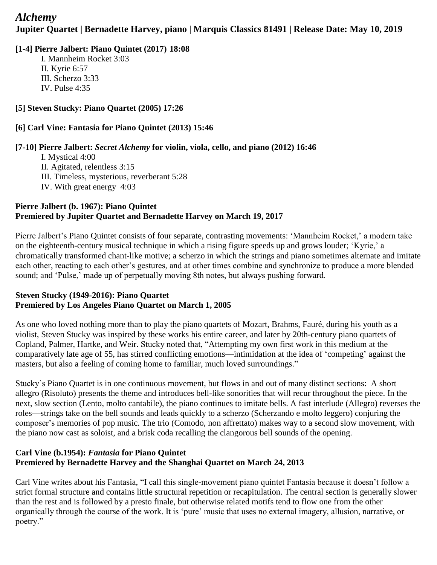# *Alchemy* **Jupiter Quartet | Bernadette Harvey, piano | Marquis Classics 81491 | Release Date: May 10, 2019**

# **[1-4] Pierre Jalbert: Piano Quintet (2017) 18:08**

I. Mannheim Rocket 3:03 II. Kyrie 6:57 III. Scherzo 3:33 IV. Pulse 4:35

# **[5] Steven Stucky: Piano Quartet (2005) 17:26**

# **[6] Carl Vine: Fantasia for Piano Quintet (2013) 15:46**

#### **[7-10] Pierre Jalbert:** *Secret Alchemy* **for violin, viola, cello, and piano (2012) 16:46**

I. Mystical 4:00 II. Agitated, relentless 3:15 III. Timeless, mysterious, reverberant 5:28 IV. With great energy 4:03

#### **Pierre Jalbert (b. 1967): Piano Quintet Premiered by Jupiter Quartet and Bernadette Harvey on March 19, 2017**

Pierre Jalbert's Piano Quintet consists of four separate, contrasting movements: 'Mannheim Rocket,' a modern take on the eighteenth-century musical technique in which a rising figure speeds up and grows louder; 'Kyrie,' a chromatically transformed chant-like motive; a scherzo in which the strings and piano sometimes alternate and imitate each other, reacting to each other's gestures, and at other times combine and synchronize to produce a more blended sound; and 'Pulse,' made up of perpetually moving 8th notes, but always pushing forward.

#### **Steven Stucky (1949-2016): Piano Quartet Premiered by Los Angeles Piano Quartet on March 1, 2005**

As one who loved nothing more than to play the piano quartets of Mozart, Brahms, Fauré, during his youth as a violist, Steven Stucky was inspired by these works his entire career, and later by 20th-century piano quartets of Copland, Palmer, Hartke, and Weir. Stucky noted that, "Attempting my own first work in this medium at the comparatively late age of 55, has stirred conflicting emotions—intimidation at the idea of 'competing' against the masters, but also a feeling of coming home to familiar, much loved surroundings."

Stucky's Piano Quartet is in one continuous movement, but flows in and out of many distinct sections: A short allegro (Risoluto) presents the theme and introduces bell-like sonorities that will recur throughout the piece. In the next, slow section (Lento, molto cantabile), the piano continues to imitate bells. A fast interlude (Allegro) reverses the roles—strings take on the bell sounds and leads quickly to a scherzo (Scherzando e molto leggero) conjuring the composer's memories of pop music. The trio (Comodo, non affrettato) makes way to a second slow movement, with the piano now cast as soloist, and a brisk coda recalling the clangorous bell sounds of the opening.

# **Carl Vine (b.1954):** *Fantasia* **for Piano Quintet Premiered by Bernadette Harvey and the Shanghai Quartet on March 24, 2013**

Carl Vine writes about his Fantasia, "I call this single-movement piano quintet Fantasia because it doesn't follow a strict formal structure and contains little structural repetition or recapitulation. The central section is generally slower than the rest and is followed by a presto finale, but otherwise related motifs tend to flow one from the other organically through the course of the work. It is 'pure' music that uses no external imagery, allusion, narrative, or poetry."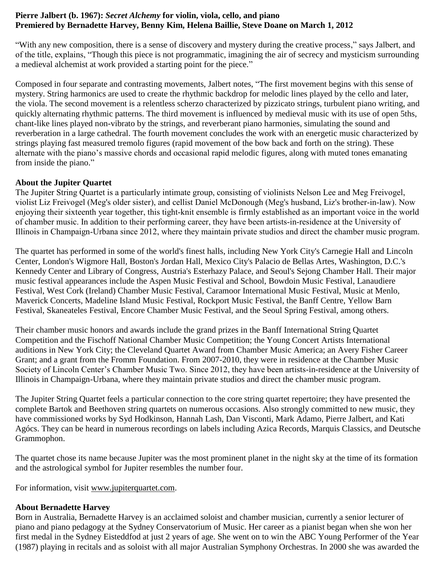#### **Pierre Jalbert (b. 1967):** *Secret Alchemy* **for violin, viola, cello, and piano Premiered by Bernadette Harvey, Benny Kim, Helena Baillie, Steve Doane on March 1, 2012**

"With any new composition, there is a sense of discovery and mystery during the creative process," says Jalbert, and of the title, explains, "Though this piece is not programmatic, imagining the air of secrecy and mysticism surrounding a medieval alchemist at work provided a starting point for the piece."

Composed in four separate and contrasting movements, Jalbert notes, "The first movement begins with this sense of mystery. String harmonics are used to create the rhythmic backdrop for melodic lines played by the cello and later, the viola. The second movement is a relentless scherzo characterized by pizzicato strings, turbulent piano writing, and quickly alternating rhythmic patterns. The third movement is influenced by medieval music with its use of open 5ths, chant-like lines played non-vibrato by the strings, and reverberant piano harmonies, simulating the sound and reverberation in a large cathedral. The fourth movement concludes the work with an energetic music characterized by strings playing fast measured tremolo figures (rapid movement of the bow back and forth on the string). These alternate with the piano's massive chords and occasional rapid melodic figures, along with muted tones emanating from inside the piano."

#### **About the Jupiter Quartet**

The Jupiter String Quartet is a particularly intimate group, consisting of violinists Nelson Lee and Meg Freivogel, violist Liz Freivogel (Meg's older sister), and cellist Daniel McDonough (Meg's husband, Liz's brother-in-law). Now enjoying their sixteenth year together, this tight-knit ensemble is firmly established as an important voice in the world of chamber music. In addition to their performing career, they have been artists-in-residence at the University of Illinois in Champaign-Urbana since 2012, where they maintain private studios and direct the chamber music program.

The quartet has performed in some of the world's finest halls, including New York City's Carnegie Hall and Lincoln Center, London's Wigmore Hall, Boston's Jordan Hall, Mexico City's Palacio de Bellas Artes, Washington, D.C.'s Kennedy Center and Library of Congress, Austria's Esterhazy Palace, and Seoul's Sejong Chamber Hall. Their major music festival appearances include the Aspen Music Festival and School, Bowdoin Music Festival, Lanaudiere Festival, West Cork (Ireland) Chamber Music Festival, Caramoor International Music Festival, Music at Menlo, Maverick Concerts, Madeline Island Music Festival, Rockport Music Festival, the Banff Centre, Yellow Barn Festival, Skaneateles Festival, Encore Chamber Music Festival, and the Seoul Spring Festival, among others.

Their chamber music honors and awards include the grand prizes in the Banff International String Quartet Competition and the Fischoff National Chamber Music Competition; the Young Concert Artists International auditions in New York City; the Cleveland Quartet Award from Chamber Music America; an Avery Fisher Career Grant; and a grant from the Fromm Foundation. From 2007-2010, they were in residence at the Chamber Music Society of Lincoln Center's Chamber Music Two. Since 2012, they have been artists-in-residence at the University of Illinois in Champaign-Urbana, where they maintain private studios and direct the chamber music program.

The Jupiter String Quartet feels a particular connection to the core string quartet repertoire; they have presented the complete Bartok and Beethoven string quartets on numerous occasions. Also strongly committed to new music, they have commissioned works by Syd Hodkinson, Hannah Lash, Dan Visconti, Mark Adamo, Pierre Jalbert, and Kati Agócs. They can be heard in numerous recordings on labels including Azica Records, Marquis Classics, and Deutsche Grammophon.

The quartet chose its name because Jupiter was the most prominent planet in the night sky at the time of its formation and the astrological symbol for Jupiter resembles the number four.

For information, visit [www.jupiterquartet.com.](http://www.jupiterquartet.com/)

#### **About Bernadette Harvey**

Born in Australia, Bernadette Harvey is an acclaimed soloist and chamber musician, currently a senior lecturer of piano and piano pedagogy at the Sydney Conservatorium of Music. Her career as a pianist began when she won her first medal in the Sydney Eisteddfod at just 2 years of age. She went on to win the ABC Young Performer of the Year (1987) playing in recitals and as soloist with all major Australian Symphony Orchestras. In 2000 she was awarded the